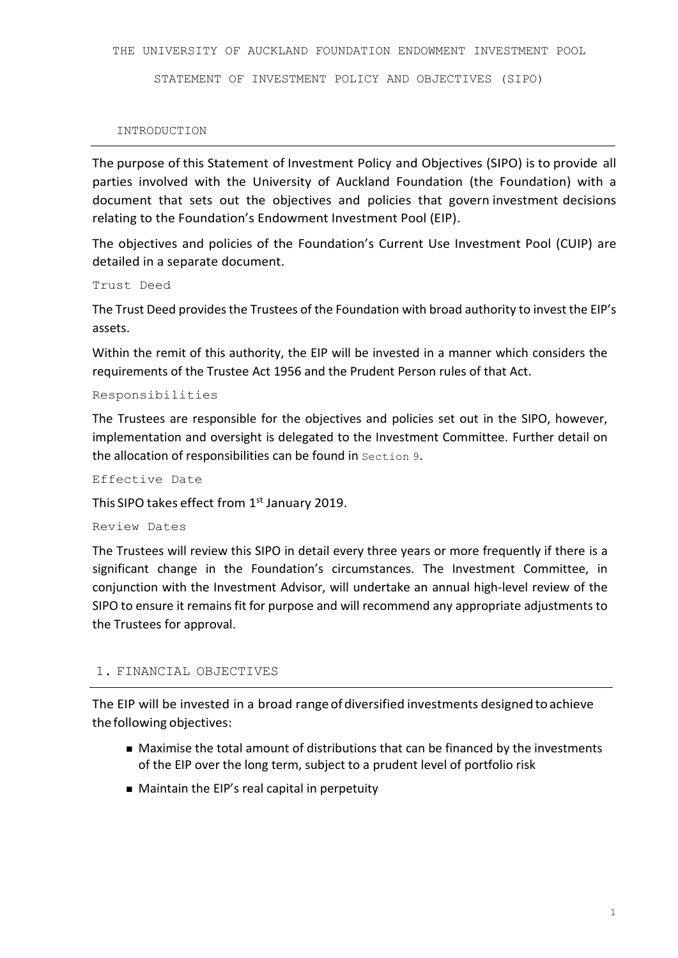STATEMENT OF INVESTMENT POLICY AND OBJECTIVES (SIPO)

#### INTRODUCTION

The purpose of this Statement of Investment Policy and Objectives (SIPO) is to provide all parties involved with the University of Auckland Foundation (the Foundation) with a document that sets out the objectives and policies that govern investment decisions relating to the Foundation's Endowment Investment Pool (EIP).

The objectives and policies of the Foundation's Current Use Investment Pool (CUIP) are detailed in a separate document.

Trust Deed

The Trust Deed provides the Trustees of the Foundation with broad authority to invest the EIP's assets.

Within the remit of this authority, the EIP will be invested in a manner which considers the requirements of the Trustee Act 1956 and the Prudent Person rules of that Act.

Responsibilities

The Trustees are responsible for the objectives and policies set out in the SIPO, however, implementation and oversight is delegated to the Investment Committee. Further detail on the allocation of responsibilities can be found in Section 9.

Effective Date

This SIPO takes effect from 1st January 2019.

Review Dates

The Trustees will review this SIPO in detail every three years or more frequently if there is a significant change in the Foundation's circumstances. The Investment Committee, in conjunction with the Investment Advisor, will undertake an annual high-level review of the SIPO to ensure it remains fit for purpose and will recommend any appropriate adjustments to the Trustees for approval.

### 1. FINANCIAL OBJECTIVES

The EIP will be invested in a broad range of diversified investments designed to achieve thefollowing objectives:

- Maximise the total amount of distributions that can be financed by the investments of the EIP over the long term, subject to a prudent level of portfolio risk
- Maintain the EIP's real capital in perpetuity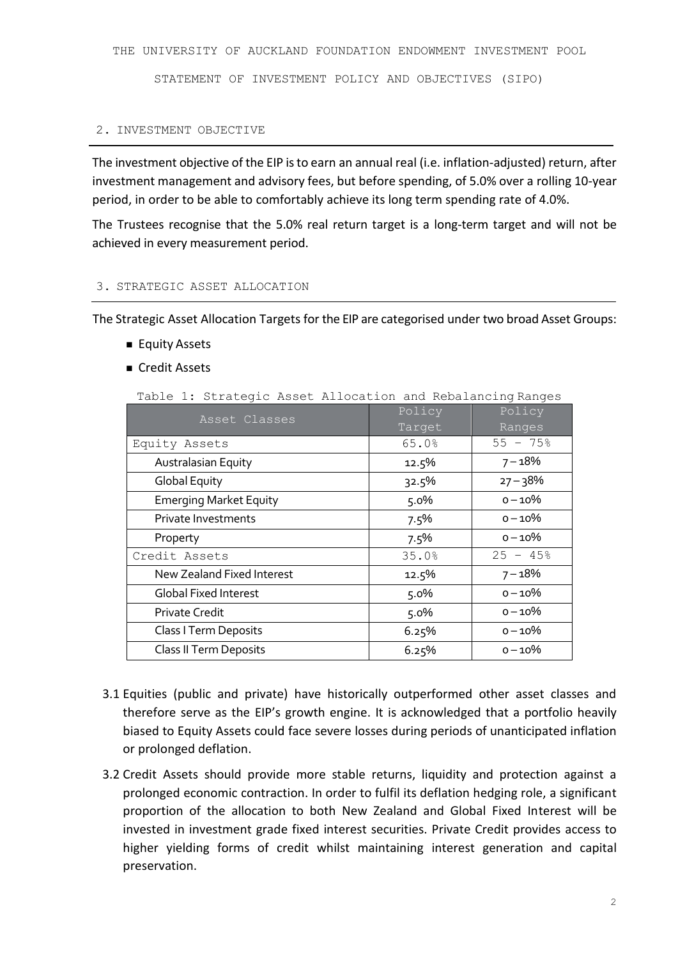STATEMENT OF INVESTMENT POLICY AND OBJECTIVES (SIPO)

#### 2. INVESTMENT OBJECTIVE

The investment objective of the EIP is to earn an annual real (i.e. inflation-adjusted) return, after investment management and advisory fees, but before spending, of 5.0% over a rolling 10-year period, in order to be able to comfortably achieve its long term spending rate of 4.0%.

The Trustees recognise that the 5.0% real return target is a long-term target and will not be achieved in every measurement period.

# 3. STRATEGIC ASSET ALLOCATION

The Strategic Asset Allocation Targets for the EIP are categorised under two broad Asset Groups:

- Equity Assets
- Credit Assets

Table 1: Strategic Asset Allocation and Rebalancing Ranges

| Asset Classes                 | Policy<br>Target | Policy<br>Ranges       |
|-------------------------------|------------------|------------------------|
| Equity Assets                 | 65.0%            | $55 - 75$              |
| Australasian Equity           | 12.5%            | $7 - 18%$              |
| <b>Global Equity</b>          | 32.5%            | $27 - 38%$             |
| <b>Emerging Market Equity</b> | 5.0%             | $0 - 10\%$             |
| Private Investments           | 7.5%             | $0 - 10\%$             |
| Property                      | 7.5%             | $0 - 10\%$             |
| Credit Assets                 | 35.0%            | $25 - 45$ <sup>8</sup> |
| New Zealand Fixed Interest    | 12.5%            | $7 - 18%$              |
| <b>Global Fixed Interest</b>  | 5.0%             | $0 - 10\%$             |
| Private Credit                | 5.0%             | $0 - 10\%$             |
| Class I Term Deposits         | 6.25%            | $0 - 10\%$             |
| Class II Term Deposits        | 6.25%            | $0 - 10%$              |

- 3.1 Equities (public and private) have historically outperformed other asset classes and therefore serve as the EIP's growth engine. It is acknowledged that a portfolio heavily biased to Equity Assets could face severe losses during periods of unanticipated inflation or prolonged deflation.
- 3.2 Credit Assets should provide more stable returns, liquidity and protection against a prolonged economic contraction. In order to fulfil its deflation hedging role, a significant proportion of the allocation to both New Zealand and Global Fixed Interest will be invested in investment grade fixed interest securities. Private Credit provides access to higher yielding forms of credit whilst maintaining interest generation and capital preservation.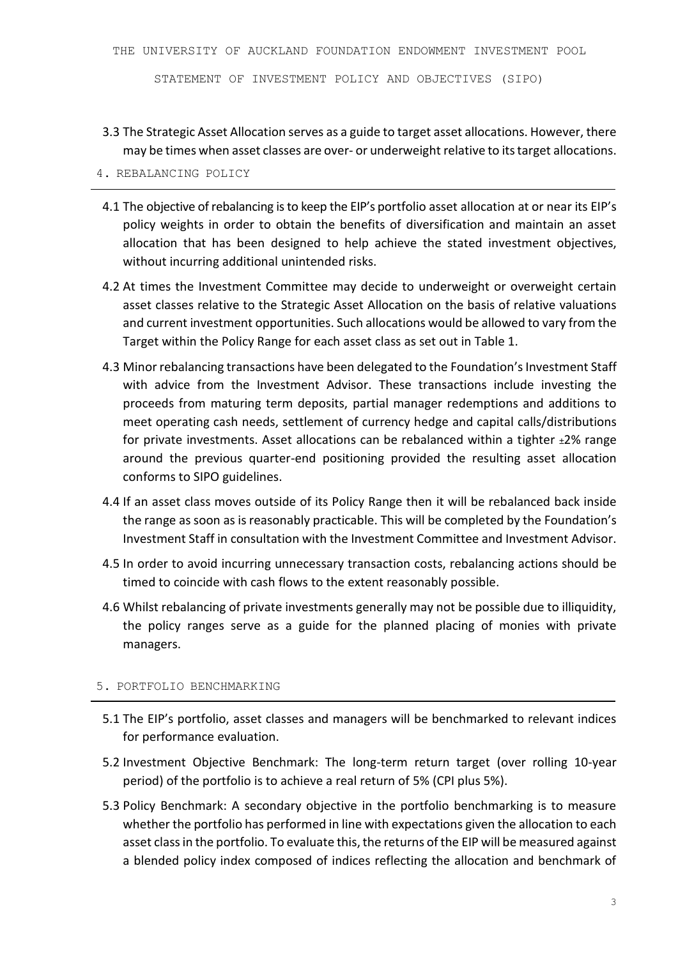STATEMENT OF INVESTMENT POLICY AND OBJECTIVES (SIPO)

3.3 The Strategic Asset Allocation serves as a guide to target asset allocations. However, there may be times when asset classes are over- or underweight relative to its target allocations.

# 4. REBALANCING POLICY

- 4.1 The objective of rebalancing is to keep the EIP's portfolio asset allocation at or near its EIP's policy weights in order to obtain the benefits of diversification and maintain an asset allocation that has been designed to help achieve the stated investment objectives, without incurring additional unintended risks.
- 4.2 At times the Investment Committee may decide to underweight or overweight certain asset classes relative to the Strategic Asset Allocation on the basis of relative valuations and current investment opportunities. Such allocations would be allowed to vary from the Target within the Policy Range for each asset class as set out in Table 1.
- 4.3 Minor rebalancing transactions have been delegated to the Foundation's Investment Staff with advice from the Investment Advisor. These transactions include investing the proceeds from maturing term deposits, partial manager redemptions and additions to meet operating cash needs, settlement of currency hedge and capital calls/distributions for private investments. Asset allocations can be rebalanced within a tighter  $\pm 2\%$  range around the previous quarter-end positioning provided the resulting asset allocation conforms to SIPO guidelines.
- 4.4 If an asset class moves outside of its Policy Range then it will be rebalanced back inside the range as soon as is reasonably practicable. This will be completed by the Foundation's Investment Staff in consultation with the Investment Committee and Investment Advisor.
- 4.5 In order to avoid incurring unnecessary transaction costs, rebalancing actions should be timed to coincide with cash flows to the extent reasonably possible.
- 4.6 Whilst rebalancing of private investments generally may not be possible due to illiquidity, the policy ranges serve as a guide for the planned placing of monies with private managers.

# 5. PORTFOLIO BENCHMARKING

- 5.1 The EIP's portfolio, asset classes and managers will be benchmarked to relevant indices for performance evaluation.
- 5.2 Investment Objective Benchmark: The long-term return target (over rolling 10-year period) of the portfolio is to achieve a real return of 5% (CPI plus 5%).
- 5.3 Policy Benchmark: A secondary objective in the portfolio benchmarking is to measure whether the portfolio has performed in line with expectations given the allocation to each asset class in the portfolio. To evaluate this, the returns of the EIP will be measured against a blended policy index composed of indices reflecting the allocation and benchmark of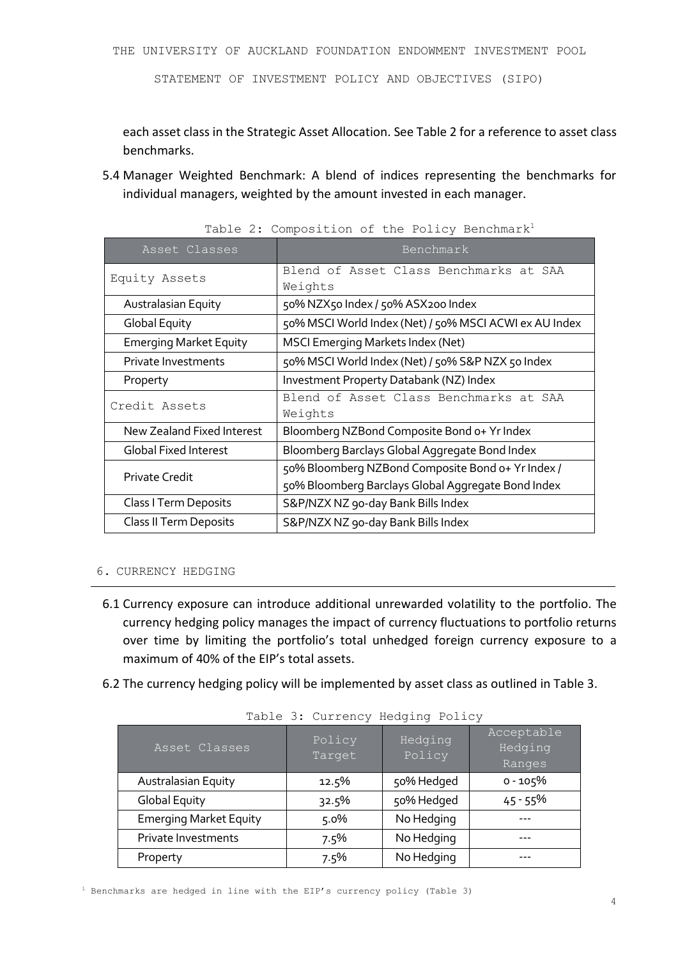STATEMENT OF INVESTMENT POLICY AND OBJECTIVES (SIPO)

each asset class in the Strategic Asset Allocation. See Table 2 for a reference to asset class benchmarks.

5.4 Manager Weighted Benchmark: A blend of indices representing the benchmarks for individual managers, weighted by the amount invested in each manager.

| Asset Classes                 | Benchmark                                                                                               |  |  |  |
|-------------------------------|---------------------------------------------------------------------------------------------------------|--|--|--|
| Equity Assets                 | Blend of Asset Class Benchmarks at SAA<br>Weights                                                       |  |  |  |
| Australasian Equity           | 50% NZX50 Index / 50% ASX200 Index                                                                      |  |  |  |
| Global Equity                 | 50% MSCI World Index (Net) / 50% MSCI ACWI ex AU Index                                                  |  |  |  |
| <b>Emerging Market Equity</b> | <b>MSCI Emerging Markets Index (Net)</b>                                                                |  |  |  |
| Private Investments           | 50% MSCI World Index (Net) / 50% S&P NZX 50 Index                                                       |  |  |  |
| Property                      | Investment Property Databank (NZ) Index                                                                 |  |  |  |
| Credit Assets                 | Blend of Asset Class Benchmarks at SAA<br>Weights                                                       |  |  |  |
| New Zealand Fixed Interest    | Bloomberg NZBond Composite Bond o+ Yr Index                                                             |  |  |  |
| <b>Global Fixed Interest</b>  | Bloomberg Barclays Global Aggregate Bond Index                                                          |  |  |  |
| <b>Private Credit</b>         | 50% Bloomberg NZBond Composite Bond o+ Yr Index /<br>50% Bloomberg Barclays Global Aggregate Bond Index |  |  |  |
| Class I Term Deposits         | S&P/NZX NZ 90-day Bank Bills Index                                                                      |  |  |  |
| Class II Term Deposits        | S&P/NZX NZ 90-day Bank Bills Index                                                                      |  |  |  |

Table 2: Composition of the Policy Benchmark<sup>1</sup>

# 6. CURRENCY HEDGING

- 6.1 Currency exposure can introduce additional unrewarded volatility to the portfolio. The currency hedging policy manages the impact of currency fluctuations to portfolio returns over time by limiting the portfolio's total unhedged foreign currency exposure to a maximum of 40% of the EIP's total assets.
- 6.2 The currency hedging policy will be implemented by asset class as outlined in Table 3.

| TANIC J. CAILCHCY HOUGLING LOILOY |                  |                   |                                 |  |  |
|-----------------------------------|------------------|-------------------|---------------------------------|--|--|
| Asset Classes                     | Policy<br>Target | Hedging<br>Policy | Acceptable<br>Hedging<br>Ranges |  |  |
| Australasian Equity               | 12.5%            | 50% Hedged        | $0 - 105%$                      |  |  |
| <b>Global Equity</b>              | 32.5%            | 50% Hedged        | $45 - 55%$                      |  |  |
| <b>Emerging Market Equity</b>     | 5.0%             | No Hedging        |                                 |  |  |
| Private Investments               | 7.5%             | No Hedging        |                                 |  |  |
| Property                          | 7.5%             | No Hedging        |                                 |  |  |

Table 3: Currency Hedging Policy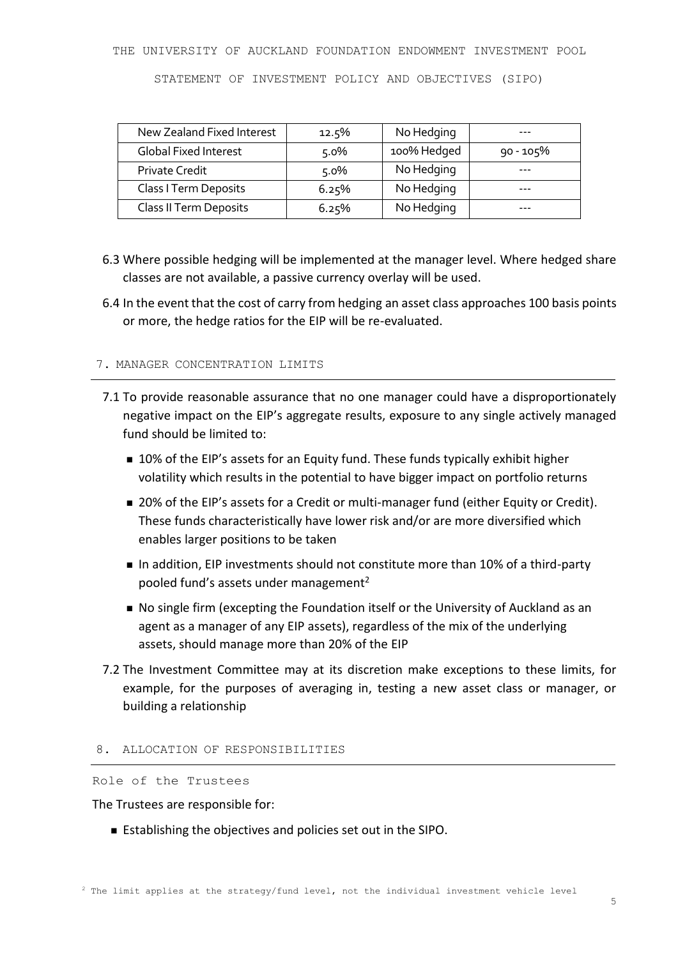STATEMENT OF INVESTMENT POLICY AND OBJECTIVES (SIPO)

| New Zealand Fixed Interest   | 12.5%   | No Hedging  |             |
|------------------------------|---------|-------------|-------------|
| <b>Global Fixed Interest</b> | $5.0\%$ | 100% Hedged | $90 - 105%$ |
| <b>Private Credit</b>        | $5.0\%$ | No Hedging  |             |
| Class I Term Deposits        | 6.25%   | No Hedging  |             |
| Class II Term Deposits       | 6.25%   | No Hedging  |             |

- 6.3 Where possible hedging will be implemented at the manager level. Where hedged share classes are not available, a passive currency overlay will be used.
- 6.4 In the event that the cost of carry from hedging an asset class approaches 100 basis points or more, the hedge ratios for the EIP will be re-evaluated.

#### 7. MANAGER CONCENTRATION LIMITS

- 7.1 To provide reasonable assurance that no one manager could have a disproportionately negative impact on the EIP's aggregate results, exposure to any single actively managed fund should be limited to:
	- 10% of the EIP's assets for an Equity fund. These funds typically exhibit higher volatility which results in the potential to have bigger impact on portfolio returns
	- 20% of the EIP's assets for a Credit or multi-manager fund (either Equity or Credit). These funds characteristically have lower risk and/or are more diversified which enables larger positions to be taken
	- In addition, EIP investments should not constitute more than 10% of a third-party pooled fund's assets under management<sup>2</sup>
	- No single firm (excepting the Foundation itself or the University of Auckland as an agent as a manager of any EIP assets), regardless of the mix of the underlying assets, should manage more than 20% of the EIP
- 7.2 The Investment Committee may at its discretion make exceptions to these limits, for example, for the purposes of averaging in, testing a new asset class or manager, or building a relationship

#### 8. ALLOCATION OF RESPONSIBILITIES

Role of the Trustees

The Trustees are responsible for:

Establishing the objectives and policies set out in the SIPO.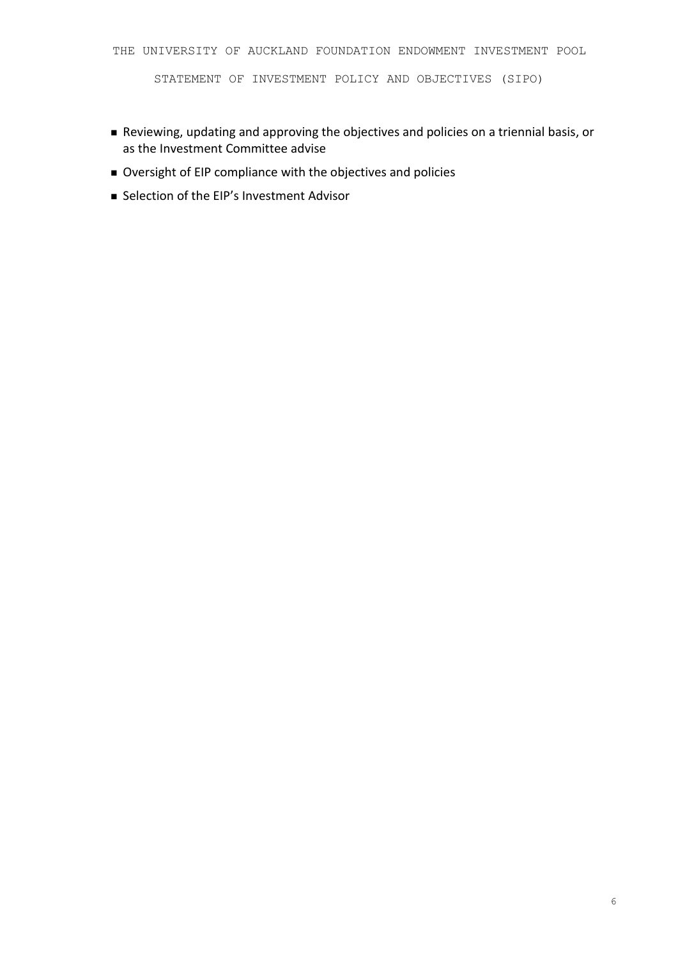STATEMENT OF INVESTMENT POLICY AND OBJECTIVES (SIPO)

- Reviewing, updating and approving the objectives and policies on a triennial basis, or as the Investment Committee advise
- Oversight of EIP compliance with the objectives and policies
- Selection of the EIP's Investment Advisor